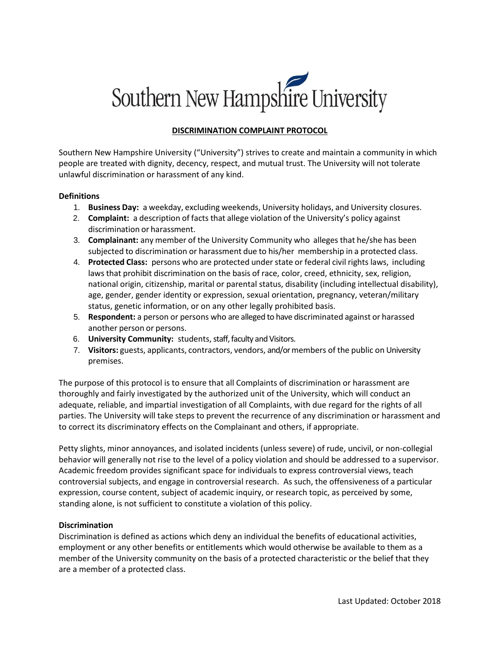# Southern New Hampshire University

# **DISCRIMINATION COMPLAINT PROTOCOL**

Southern New Hampshire University ("University") strives to create and maintain a community in which people are treated with dignity, decency, respect, and mutual trust. The University will not tolerate unlawful discrimination or harassment of any kind.

### **Definitions**

- 1. **Business Day:** a weekday, excluding weekends, University holidays, and University closures.
- 2. **Complaint:** a description of facts that allege violation of the University's policy against discrimination or harassment.
- 3. **Complainant:** any member of the University Community who alleges that he/she has been subjected to discrimination or harassment due to his/her membership in a protected class.
- 4. **Protected Class:** persons who are protected under state or federal civil rights laws, including laws that prohibit discrimination on the basis of race, color, creed, ethnicity, sex, religion, national origin, citizenship, marital or parental status, disability (including intellectual disability), age, gender, gender identity or expression, sexual orientation, pregnancy, veteran/military status, genetic information, or on any other legally prohibited basis.
- 5. **Respondent:** a person or persons who are alleged to have discriminated against or harassed another person or persons.
- 6. **University Community:** students, staff, faculty and Visitors.
- 7. **Visitors:** guests, applicants, contractors, vendors, and/or members of the public on University premises.

The purpose of this protocol is to ensure that all Complaints of discrimination or harassment are thoroughly and fairly investigated by the authorized unit of the University, which will conduct an adequate, reliable, and impartial investigation of all Complaints, with due regard for the rights of all parties. The University will take steps to prevent the recurrence of any discrimination or harassment and to correct its discriminatory effects on the Complainant and others, if appropriate.

Petty slights, minor annoyances, and isolated incidents (unless severe) of rude, uncivil, or non-collegial behavior will generally not rise to the level of a policy violation and should be addressed to a supervisor. Academic freedom provides significant space for individuals to express controversial views, teach controversial subjects, and engage in controversial research. As such, the offensiveness of a particular expression, course content, subject of academic inquiry, or research topic, as perceived by some, standing alone, is not sufficient to constitute a violation of this policy.

### **Discrimination**

Discrimination is defined as actions which deny an individual the benefits of educational activities, employment or any other benefits or entitlements which would otherwise be available to them as a member of the University community on the basis of a protected characteristic or the belief that they are a member of a protected class.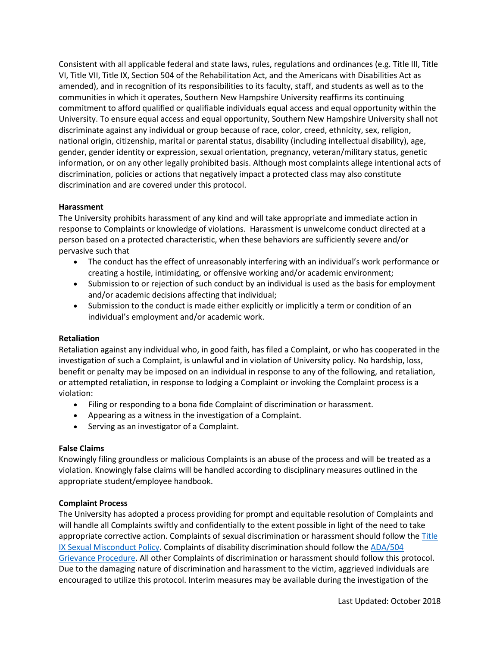Consistent with all applicable federal and state laws, rules, regulations and ordinances (e.g. Title III, Title VI, Title VII, Title IX, Section 504 of the Rehabilitation Act, and the Americans with Disabilities Act as amended), and in recognition of its responsibilities to its faculty, staff, and students as well as to the communities in which it operates, Southern New Hampshire University reaffirms its continuing commitment to afford qualified or qualifiable individuals equal access and equal opportunity within the University. To ensure equal access and equal opportunity, Southern New Hampshire University shall not discriminate against any individual or group because of race, color, creed, ethnicity, sex, religion, national origin, citizenship, marital or parental status, disability (including intellectual disability), age, gender, gender identity or expression, sexual orientation, pregnancy, veteran/military status, genetic information, or on any other legally prohibited basis. Although most complaints allege intentional acts of discrimination, policies or actions that negatively impact a protected class may also constitute discrimination and are covered under this protocol.

# **Harassment**

The University prohibits harassment of any kind and will take appropriate and immediate action in response to Complaints or knowledge of violations. Harassment is unwelcome conduct directed at a person based on a protected characteristic, when these behaviors are sufficiently severe and/or pervasive such that

- The conduct has the effect of unreasonably interfering with an individual's work performance or creating a hostile, intimidating, or offensive working and/or academic environment;
- Submission to or rejection of such conduct by an individual is used as the basis for employment and/or academic decisions affecting that individual;
- Submission to the conduct is made either explicitly or implicitly a term or condition of an individual's employment and/or academic work.

### **Retaliation**

Retaliation against any individual who, in good faith, has filed a Complaint, or who has cooperated in the investigation of such a Complaint, is unlawful and in violation of University policy. No hardship, loss, benefit or penalty may be imposed on an individual in response to any of the following, and retaliation, or attempted retaliation, in response to lodging a Complaint or invoking the Complaint process is a violation:

- Filing or responding to a bona fide Complaint of discrimination or harassment.
- Appearing as a witness in the investigation of a Complaint.
- Serving as an investigator of a Complaint.

### **False Claims**

Knowingly filing groundless or malicious Complaints is an abuse of the process and will be treated as a violation. Knowingly false claims will be handled according to disciplinary measures outlined in the appropriate student/employee handbook.

### **Complaint Process**

The University has adopted a process providing for prompt and equitable resolution of Complaints and will handle all Complaints swiftly and confidentially to the extent possible in light of the need to take appropriate corrective action. Complaints of sexual discrimination or harassment should follow th[e Title](https://www.snhu.edu/consumer-information/title-ix-sexual-misconduct)  [IX Sexual Misconduct Policy.](https://www.snhu.edu/consumer-information/title-ix-sexual-misconduct) Complaints of disability discrimination should follow the [ADA/504](https://www.snhu.edu/about-us/accessibility/ada-grievances)  [Grievance Procedure.](https://www.snhu.edu/about-us/accessibility/ada-grievances) All other Complaints of discrimination or harassment should follow this protocol. Due to the damaging nature of discrimination and harassment to the victim, aggrieved individuals are encouraged to utilize this protocol. Interim measures may be available during the investigation of the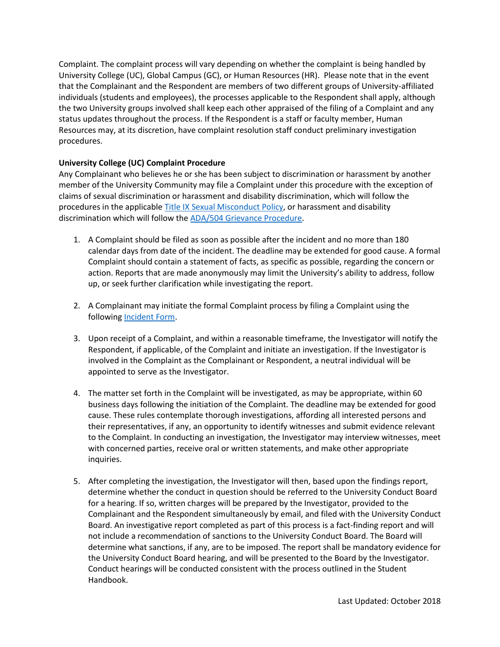Complaint. The complaint process will vary depending on whether the complaint is being handled by University College (UC), Global Campus (GC), or Human Resources (HR). Please note that in the event that the Complainant and the Respondent are members of two different groups of University-affiliated individuals (students and employees), the processes applicable to the Respondent shall apply, although the two University groups involved shall keep each other appraised of the filing of a Complaint and any status updates throughout the process. If the Respondent is a staff or faculty member, Human Resources may, at its discretion, have complaint resolution staff conduct preliminary investigation procedures.

# **University College (UC) Complaint Procedure**

Any Complainant who believes he or she has been subject to discrimination or harassment by another member of the University Community may file a Complaint under this procedure with the exception of claims of sexual discrimination or harassment and disability discrimination, which will follow the procedures in the applicabl[e Title IX Sexual Misconduct Policy,](https://www.snhu.edu/consumer-information/title-ix-sexual-misconduct) or harassment and disability discrimination which will follow the [ADA/504 Grievance Procedure.](https://www.snhu.edu/about-us/accessibility/ada-grievances)

- 1. A Complaint should be filed as soon as possible after the incident and no more than 180 calendar days from date of the incident. The deadline may be extended for good cause. A formal Complaint should contain a statement of facts, as specific as possible, regarding the concern or action. Reports that are made anonymously may limit the University's ability to address, follow up, or seek further clarification while investigating the report.
- 2. A Complainant may initiate the formal Complaint process by filing a Complaint using the following [Incident Form.](https://my.snhu.edu/students/Forms/Documents/Report%20a%20Bias,%20Bullying,%20Discrimination,%20or%20Harassment%20Violation.aspx)
- 3. Upon receipt of a Complaint, and within a reasonable timeframe, the Investigator will notify the Respondent, if applicable, of the Complaint and initiate an investigation. If the Investigator is involved in the Complaint as the Complainant or Respondent, a neutral individual will be appointed to serve as the Investigator.
- 4. The matter set forth in the Complaint will be investigated, as may be appropriate, within 60 business days following the initiation of the Complaint. The deadline may be extended for good cause. These rules contemplate thorough investigations, affording all interested persons and their representatives, if any, an opportunity to identify witnesses and submit evidence relevant to the Complaint. In conducting an investigation, the Investigator may interview witnesses, meet with concerned parties, receive oral or written statements, and make other appropriate inquiries.
- 5. After completing the investigation, the Investigator will then, based upon the findings report, determine whether the conduct in question should be referred to the University Conduct Board for a hearing. If so, written charges will be prepared by the Investigator, provided to the Complainant and the Respondent simultaneously by email, and filed with the University Conduct Board. An investigative report completed as part of this process is a fact-finding report and will not include a recommendation of sanctions to the University Conduct Board. The Board will determine what sanctions, if any, are to be imposed. The report shall be mandatory evidence for the University Conduct Board hearing, and will be presented to the Board by the Investigator. Conduct hearings will be conducted consistent with the process outlined in the Student Handbook.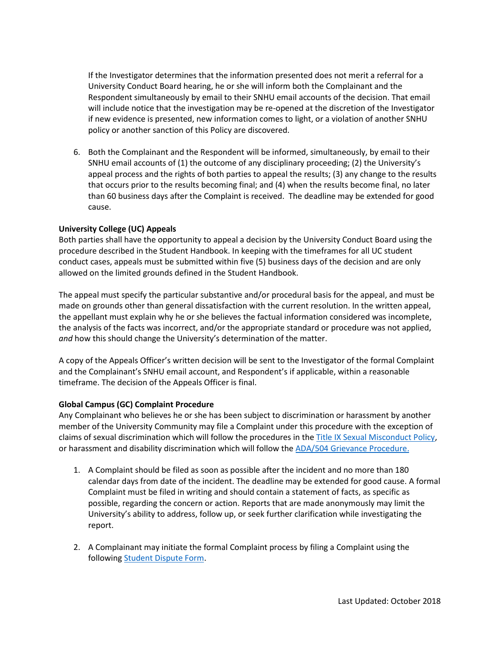If the Investigator determines that the information presented does not merit a referral for a University Conduct Board hearing, he or she will inform both the Complainant and the Respondent simultaneously by email to their SNHU email accounts of the decision. That email will include notice that the investigation may be re-opened at the discretion of the Investigator if new evidence is presented, new information comes to light, or a violation of another SNHU policy or another sanction of this Policy are discovered.

6. Both the Complainant and the Respondent will be informed, simultaneously, by email to their SNHU email accounts of (1) the outcome of any disciplinary proceeding; (2) the University's appeal process and the rights of both parties to appeal the results; (3) any change to the results that occurs prior to the results becoming final; and (4) when the results become final, no later than 60 business days after the Complaint is received. The deadline may be extended for good cause.

### **University College (UC) Appeals**

Both parties shall have the opportunity to appeal a decision by the University Conduct Board using the procedure described in the Student Handbook. In keeping with the timeframes for all UC student conduct cases, appeals must be submitted within five (5) business days of the decision and are only allowed on the limited grounds defined in the Student Handbook.

The appeal must specify the particular substantive and/or procedural basis for the appeal, and must be made on grounds other than general dissatisfaction with the current resolution. In the written appeal, the appellant must explain why he or she believes the factual information considered was incomplete, the analysis of the facts was incorrect, and/or the appropriate standard or procedure was not applied, *and* how this should change the University's determination of the matter.

A copy of the Appeals Officer's written decision will be sent to the Investigator of the formal Complaint and the Complainant's SNHU email account, and Respondent's if applicable, within a reasonable timeframe. The decision of the Appeals Officer is final.

### **Global Campus (GC) Complaint Procedure**

Any Complainant who believes he or she has been subject to discrimination or harassment by another member of the University Community may file a Complaint under this procedure with the exception of claims of sexual discrimination which will follow the procedures in the [Title IX Sexual Misconduct Policy,](https://www.snhu.edu/consumer-information/title-ix-sexual-misconduct) or harassment and disability discrimination which will follow the [ADA/504 Grievance Procedure.](https://www.snhu.edu/about-us/accessibility/ada-grievances)

- 1. A Complaint should be filed as soon as possible after the incident and no more than 180 calendar days from date of the incident. The deadline may be extended for good cause. A formal Complaint must be filed in writing and should contain a statement of facts, as specific as possible, regarding the concern or action. Reports that are made anonymously may limit the University's ability to address, follow up, or seek further clarification while investigating the report.
- 2. A Complainant may initiate the formal Complaint process by filing a Complaint using the following [Student Dispute Form.](https://cm.maxient.com/reportingform.php?SouthernNHUnivCOCE&layout_id=3)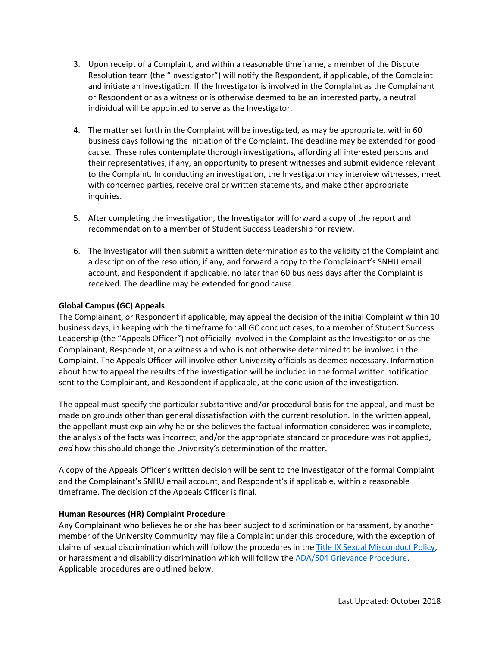- 3. Upon receipt of a Complaint, and within a reasonable timeframe, a member of the Dispute Resolution team (the "Investigator") will notify the Respondent, if applicable, of the Complaint and initiate an investigation. If the Investigator is involved in the Complaint as the Complainant or Respondent or as a witness or is otherwise deemed to be an interested party, a neutral individual will be appointed to serve as the Investigator.
- 4. The matter set forth in the Complaint will be investigated, as may be appropriate, within 60 business days following the initiation of the Complaint. The deadline may be extended for good cause. These rules contemplate thorough investigations, affording all interested persons and their representatives, if any, an opportunity to present witnesses and submit evidence relevant to the Complaint. In conducting an investigation, the Investigator may interview witnesses, meet with concerned parties, receive oral or written statements, and make other appropriate inquiries.
- 5. After completing the investigation, the Investigator will forward a copy of the report and recommendation to a member of Student Success Leadership for review.
- 6. The Investigator will then submit a written determination as to the validity of the Complaint and a description of the resolution, if any, and forward a copy to the Complainant's SNHU email account, and Respondent if applicable, no later than 60 business days after the Complaint is received. The deadline may be extended for good cause.

# **Global Campus (GC) Appeals**

The Complainant, or Respondent if applicable, may appeal the decision of the initial Complaint within 10 business days, in keeping with the timeframe for all GC conduct cases, to a member of Student Success Leadership (the "Appeals Officer") not officially involved in the Complaint as the Investigator or as the Complainant, Respondent, or a witness and who is not otherwise determined to be involved in the Complaint. The Appeals Officer will involve other University officials as deemed necessary. Information about how to appeal the results of the investigation will be included in the formal written notification sent to the Complainant, and Respondent if applicable, at the conclusion of the investigation.

The appeal must specify the particular substantive and/or procedural basis for the appeal, and must be made on grounds other than general dissatisfaction with the current resolution. In the written appeal, the appellant must explain why he or she believes the factual information considered was incomplete, the analysis of the facts was incorrect, and/or the appropriate standard or procedure was not applied, *and* how this should change the University's determination of the matter.

A copy of the Appeals Officer's written decision will be sent to the Investigator of the formal Complaint and the Complainant's SNHU email account, and Respondent's if applicable, within a reasonable timeframe. The decision of the Appeals Officer is final.

### **Human Resources (HR) Complaint Procedure**

Any Complainant who believes he or she has been subject to discrimination or harassment, by another member of the University Community may file a Complaint under this procedure, with the exception of claims of sexual discrimination which will follow the procedures in the [Title IX Sexual Misconduct Policy,](https://www.snhu.edu/consumer-information/title-ix-sexual-misconduct) or harassment and disability discrimination which will follow the [ADA/504 Grievance Procedure.](https://www.snhu.edu/about-us/accessibility/ada-grievances) Applicable procedures are outlined below.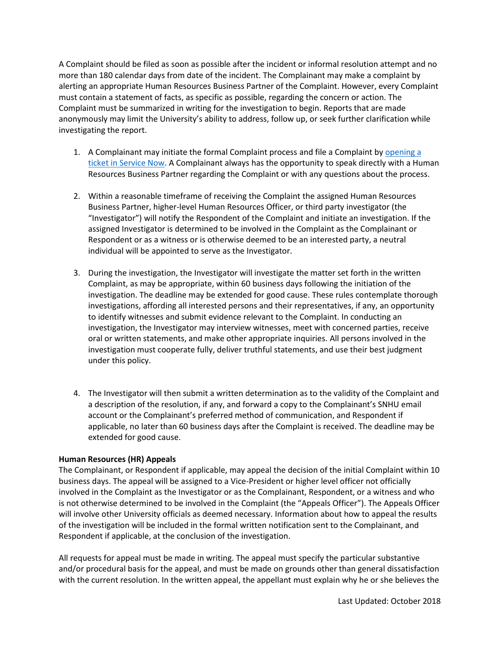A Complaint should be filed as soon as possible after the incident or informal resolution attempt and no more than 180 calendar days from date of the incident. The Complainant may make a complaint by alerting an appropriate Human Resources Business Partner of the Complaint. However, every Complaint must contain a statement of facts, as specific as possible, regarding the concern or action. The Complaint must be summarized in writing for the investigation to begin. Reports that are made anonymously may limit the University's ability to address, follow up, or seek further clarification while investigating the report.

- 1. A Complainant may initiate the formal Complaint process and file a Complaint by opening a [ticket in Service Now.](https://snhu.service-now.com/sp?id=human_resources) A Complainant always has the opportunity to speak directly with a Human Resources Business Partner regarding the Complaint or with any questions about the process.
- 2. Within a reasonable timeframe of receiving the Complaint the assigned Human Resources Business Partner, higher-level Human Resources Officer, or third party investigator (the "Investigator") will notify the Respondent of the Complaint and initiate an investigation. If the assigned Investigator is determined to be involved in the Complaint as the Complainant or Respondent or as a witness or is otherwise deemed to be an interested party, a neutral individual will be appointed to serve as the Investigator.
- 3. During the investigation, the Investigator will investigate the matter set forth in the written Complaint, as may be appropriate, within 60 business days following the initiation of the investigation. The deadline may be extended for good cause. These rules contemplate thorough investigations, affording all interested persons and their representatives, if any, an opportunity to identify witnesses and submit evidence relevant to the Complaint. In conducting an investigation, the Investigator may interview witnesses, meet with concerned parties, receive oral or written statements, and make other appropriate inquiries. All persons involved in the investigation must cooperate fully, deliver truthful statements, and use their best judgment under this policy.
- 4. The Investigator will then submit a written determination as to the validity of the Complaint and a description of the resolution, if any, and forward a copy to the Complainant's SNHU email account or the Complainant's preferred method of communication, and Respondent if applicable, no later than 60 business days after the Complaint is received. The deadline may be extended for good cause.

### **Human Resources (HR) Appeals**

The Complainant, or Respondent if applicable, may appeal the decision of the initial Complaint within 10 business days. The appeal will be assigned to a Vice-President or higher level officer not officially involved in the Complaint as the Investigator or as the Complainant, Respondent, or a witness and who is not otherwise determined to be involved in the Complaint (the "Appeals Officer"). The Appeals Officer will involve other University officials as deemed necessary. Information about how to appeal the results of the investigation will be included in the formal written notification sent to the Complainant, and Respondent if applicable, at the conclusion of the investigation.

All requests for appeal must be made in writing. The appeal must specify the particular substantive and/or procedural basis for the appeal, and must be made on grounds other than general dissatisfaction with the current resolution. In the written appeal, the appellant must explain why he or she believes the